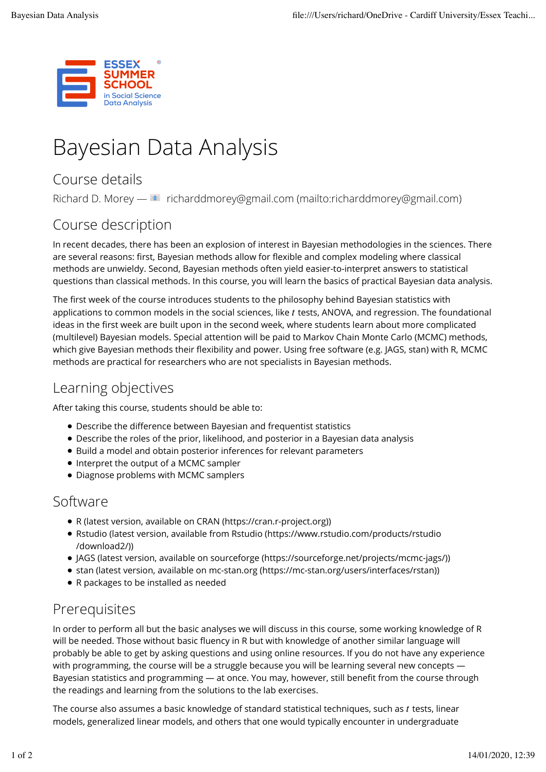

# Bayesian Data Analysis

## Course details

Richard D. Morey — E richarddmorey@gmail.com (mailto:richarddmorey@gmail.com)

## Course description

In recent decades, there has been an explosion of interest in Bayesian methodologies in the sciences. There are several reasons: first, Bayesian methods allow for flexible and complex modeling where classical methods are unwieldy. Second, Bayesian methods often yield easier-to-interpret answers to statistical questions than classical methods. In this course, you will learn the basics of practical Bayesian data analysis.

The first week of the course introduces students to the philosophy behind Bayesian statistics with applications to common models in the social sciences, like t tests, ANOVA, and regression. The foundational ideas in the first week are built upon in the second week, where students learn about more complicated (multilevel) Bayesian models. Special attention will be paid to Markov Chain Monte Carlo (MCMC) methods, which give Bayesian methods their flexibility and power. Using free software (e.g. JAGS, stan) with R, MCMC methods are practical for researchers who are not specialists in Bayesian methods.

## Learning objectives

After taking this course, students should be able to:

- Describe the difference between Bayesian and frequentist statistics
- Describe the roles of the prior, likelihood, and posterior in a Bayesian data analysis
- Build a model and obtain posterior inferences for relevant parameters
- Interpret the output of a MCMC sampler
- Diagnose problems with MCMC samplers

#### Software

- R (latest version, available on CRAN (https://cran.r-project.org))
- Rstudio (latest version, available from Rstudio (https://www.rstudio.com/products/rstudio /download2/))
- JAGS (latest version, available on sourceforge (https://sourceforge.net/projects/mcmc-jags/))
- stan (latest version, available on mc-stan.org (https://mc-stan.org/users/interfaces/rstan))
- R packages to be installed as needed

## Prerequisites

In order to perform all but the basic analyses we will discuss in this course, some working knowledge of R will be needed. Those without basic fluency in R but with knowledge of another similar language will probably be able to get by asking questions and using online resources. If you do not have any experience with programming, the course will be a struggle because you will be learning several new concepts — Bayesian statistics and programming — at once. You may, however, still benefit from the course through the readings and learning from the solutions to the lab exercises.

The course also assumes a basic knowledge of standard statistical techniques, such as t tests, linear models, generalized linear models, and others that one would typically encounter in undergraduate